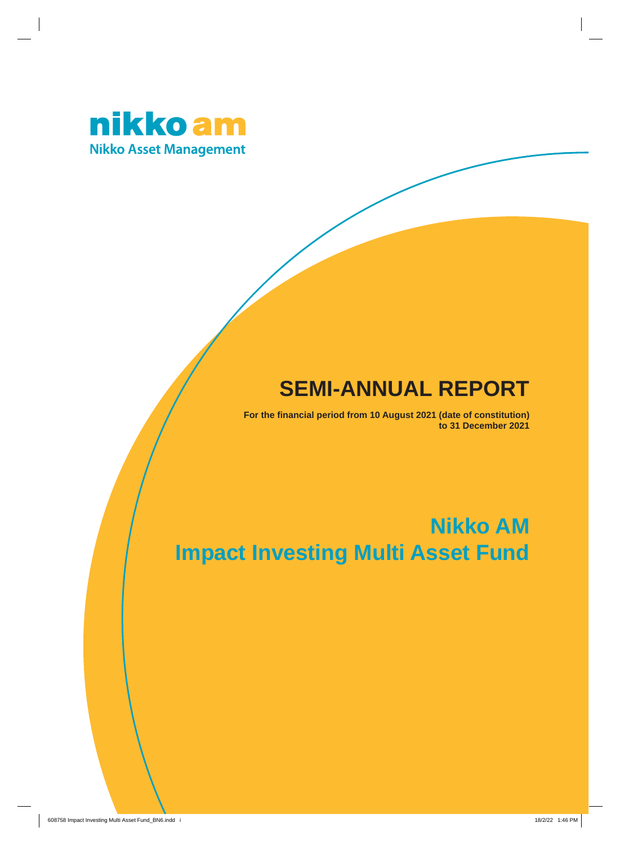

# **SEMI-ANNUAL REPORT**

For the **financial period from 10 August 2021 (date of constitution) to 31 December 2021**

**Nikko AM Impact Investing Multi Asset Fund**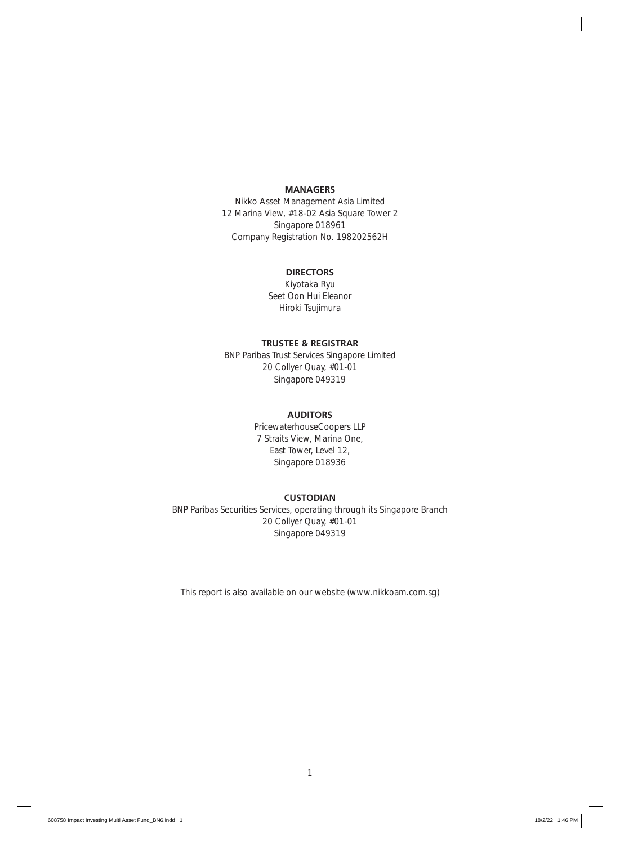## **MANAGERS**

Nikko Asset Management Asia Limited 12 Marina View, #18-02 Asia Square Tower 2 Singapore 018961 Company Registration No. 198202562H

## **DIRECTORS**

Kiyotaka Ryu Seet Oon Hui Eleanor Hiroki Tsujimura

#### **TRUSTEE & REGISTRAR**

BNP Paribas Trust Services Singapore Limited 20 Collyer Quay, #01-01 Singapore 049319

#### **AUDITORS**

PricewaterhouseCoopers LLP 7 Straits View, Marina One, East Tower, Level 12, Singapore 018936

#### **CUSTODIAN**

BNP Paribas Securities Services, operating through its Singapore Branch 20 Collyer Quay, #01-01 Singapore 049319

This report is also available on our website (www.nikkoam.com.sg)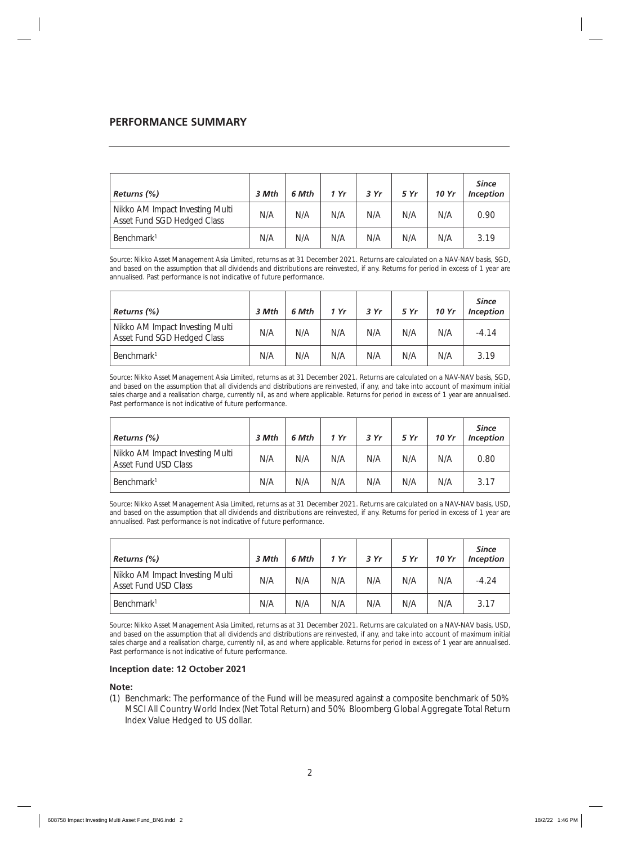# **PERFORMANCE SUMMARY**

| Returns (%)                                                    | 3 Mth | 6 Mth | 1 Yr | 3Yr | 5Yr | 10 Yr | <b>Since</b><br><b>Inception</b> |
|----------------------------------------------------------------|-------|-------|------|-----|-----|-------|----------------------------------|
| Nikko AM Impact Investing Multi<br>Asset Fund SGD Hedged Class | N/A   | N/A   | N/A  | N/A | N/A | N/A   | 0.90                             |
| Benchmark <sup>1</sup>                                         | N/A   | N/A   | N/A  | N/A | N/A | N/A   | 3.19                             |

Source: Nikko Asset Management Asia Limited, returns as at 31 December 2021. Returns are calculated on a NAV-NAV basis, SGD, and based on the assumption that all dividends and distributions are reinvested, if any. Returns for period in excess of 1 year are annualised. Past performance is not indicative of future performance.

| Returns (%)                                                    | 3 Mth | 6 Mth | 1 Yr | 3Yr | 5Yr | 10 Yr | <b>Since</b><br><b>Inception</b> |
|----------------------------------------------------------------|-------|-------|------|-----|-----|-------|----------------------------------|
| Nikko AM Impact Investing Multi<br>Asset Fund SGD Hedged Class | N/A   | N/A   | N/A  | N/A | N/A | N/A   | $-4.14$                          |
| Benchmark <sup>1</sup>                                         | N/A   | N/A   | N/A  | N/A | N/A | N/A   | 3.19                             |

Source: Nikko Asset Management Asia Limited, returns as at 31 December 2021. Returns are calculated on a NAV-NAV basis, SGD, and based on the assumption that all dividends and distributions are reinvested, if any, and take into account of maximum initial sales charge and a realisation charge, currently nil, as and where applicable. Returns for period in excess of 1 year are annualised. Past performance is not indicative of future performance.

| Returns (%)                                                    | 3 Mth | 6 Mth | 1 Yr | 3Yr | 5Yr | 10 Yr | <b>Since</b><br><b>Inception</b> |
|----------------------------------------------------------------|-------|-------|------|-----|-----|-------|----------------------------------|
| Nikko AM Impact Investing Multi<br><b>Asset Fund USD Class</b> | N/A   | N/A   | N/A  | N/A | N/A | N/A   | 0.80                             |
| Benchmark <sup>1</sup>                                         | N/A   | N/A   | N/A  | N/A | N/A | N/A   | 3.17                             |

Source: Nikko Asset Management Asia Limited, returns as at 31 December 2021. Returns are calculated on a NAV-NAV basis, USD, and based on the assumption that all dividends and distributions are reinvested, if any. Returns for period in excess of 1 year are annualised. Past performance is not indicative of future performance.

| Returns (%)                                                    | 3 Mth | 6 Mth | 1 Yr | 3Yr | 5Yr | 10 Yr | <b>Since</b><br><b>Inception</b> |
|----------------------------------------------------------------|-------|-------|------|-----|-----|-------|----------------------------------|
| Nikko AM Impact Investing Multi<br><b>Asset Fund USD Class</b> | N/A   | N/A   | N/A  | N/A | N/A | N/A   | $-4.24$                          |
| Benchmark <sup>1</sup>                                         | N/A   | N/A   | N/A  | N/A | N/A | N/A   | 3.17                             |

Source: Nikko Asset Management Asia Limited, returns as at 31 December 2021. Returns are calculated on a NAV-NAV basis, USD, and based on the assumption that all dividends and distributions are reinvested, if any, and take into account of maximum initial sales charge and a realisation charge, currently nil, as and where applicable. Returns for period in excess of 1 year are annualised. Past performance is not indicative of future performance.

#### **Inception date: 12 October 2021**

#### **Note:**

(1) Benchmark: The performance of the Fund will be measured against a composite benchmark of 50% MSCI All Country World Index (Net Total Return) and 50% Bloomberg Global Aggregate Total Return Index Value Hedged to US dollar.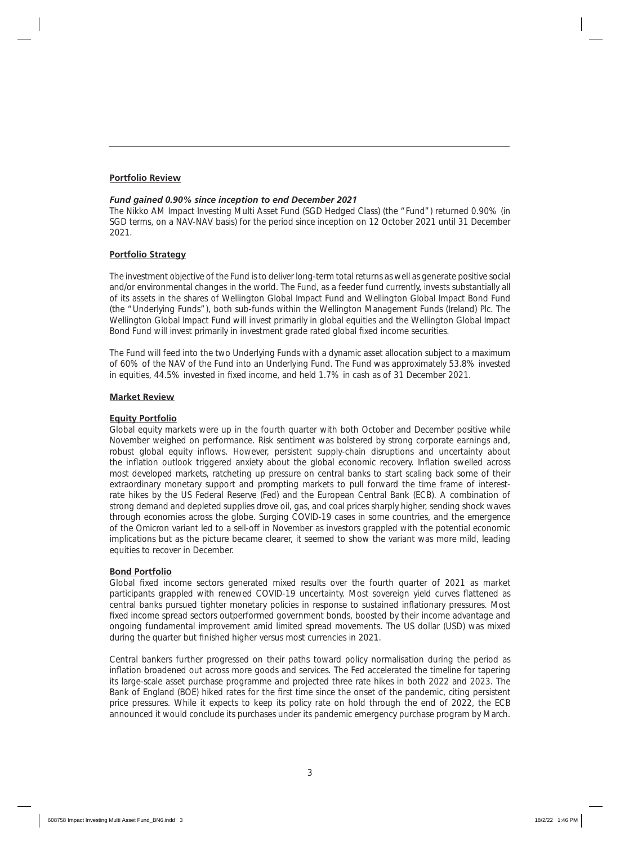## **Portfolio Review**

#### *Fund gained 0.90% since inception to end December 2021*

The Nikko AM Impact Investing Multi Asset Fund (SGD Hedged Class) (the "Fund") returned 0.90% (in SGD terms, on a NAV-NAV basis) for the period since inception on 12 October 2021 until 31 December 2021.

## **Portfolio Strategy**

The investment objective of the Fund is to deliver long-term total returns as well as generate positive social and/or environmental changes in the world. The Fund, as a feeder fund currently, invests substantially all of its assets in the shares of Wellington Global Impact Fund and Wellington Global Impact Bond Fund (the "Underlying Funds"), both sub-funds within the Wellington Management Funds (Ireland) Plc. The Wellington Global Impact Fund will invest primarily in global equities and the Wellington Global Impact Bond Fund will invest primarily in investment grade rated global fixed income securities.

The Fund will feed into the two Underlying Funds with a dynamic asset allocation subject to a maximum of 60% of the NAV of the Fund into an Underlying Fund. The Fund was approximately 53.8% invested in equities, 44.5% invested in fixed income, and held 1.7% in cash as of 31 December 2021.

#### **Market Review**

#### **Equity Portfolio**

Global equity markets were up in the fourth quarter with both October and December positive while November weighed on performance. Risk sentiment was bolstered by strong corporate earnings and, robust global equity inflows. However, persistent supply-chain disruptions and uncertainty about the inflation outlook triggered anxiety about the global economic recovery. Inflation swelled across most developed markets, ratcheting up pressure on central banks to start scaling back some of their extraordinary monetary support and prompting markets to pull forward the time frame of interestrate hikes by the US Federal Reserve (Fed) and the European Central Bank (ECB). A combination of strong demand and depleted supplies drove oil, gas, and coal prices sharply higher, sending shock waves through economies across the globe. Surging COVID-19 cases in some countries, and the emergence of the Omicron variant led to a sell-off in November as investors grappled with the potential economic implications but as the picture became clearer, it seemed to show the variant was more mild, leading equities to recover in December.

#### **Bond Portfolio**

Global fixed income sectors generated mixed results over the fourth quarter of 2021 as market participants grappled with renewed COVID-19 uncertainty. Most sovereign yield curves flattened as central banks pursued tighter monetary policies in response to sustained inflationary pressures. Most fixed income spread sectors outperformed government bonds, boosted by their income advantage and ongoing fundamental improvement amid limited spread movements. The US dollar (USD) was mixed during the quarter but finished higher versus most currencies in 2021.

Central bankers further progressed on their paths toward policy normalisation during the period as inflation broadened out across more goods and services. The Fed accelerated the timeline for tapering its large-scale asset purchase programme and projected three rate hikes in both 2022 and 2023. The Bank of England (BOE) hiked rates for the first time since the onset of the pandemic, citing persistent price pressures. While it expects to keep its policy rate on hold through the end of 2022, the ECB announced it would conclude its purchases under its pandemic emergency purchase program by March.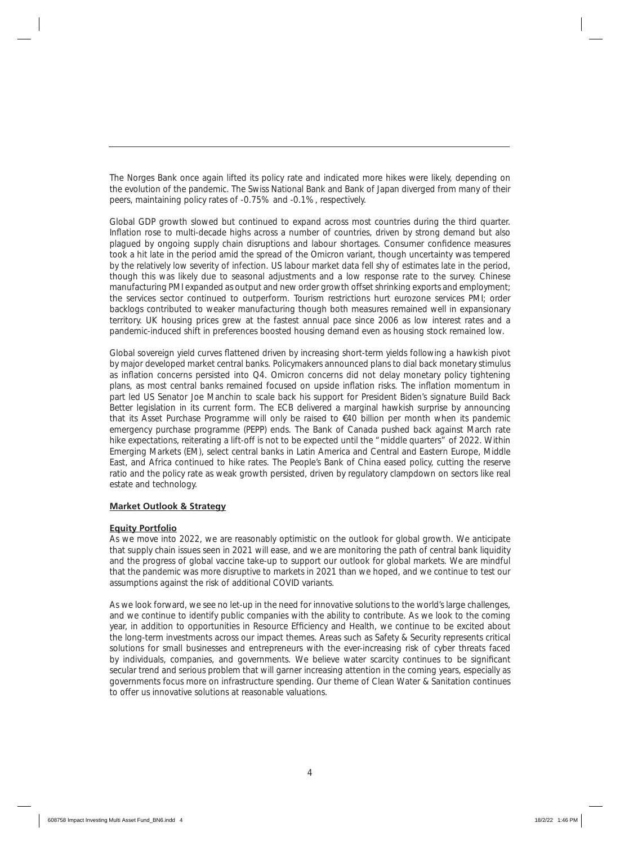The Norges Bank once again lifted its policy rate and indicated more hikes were likely, depending on the evolution of the pandemic. The Swiss National Bank and Bank of Japan diverged from many of their peers, maintaining policy rates of -0.75% and -0.1%, respectively.

Global GDP growth slowed but continued to expand across most countries during the third quarter. Inflation rose to multi-decade highs across a number of countries, driven by strong demand but also plagued by ongoing supply chain disruptions and labour shortages. Consumer confidence measures took a hit late in the period amid the spread of the Omicron variant, though uncertainty was tempered by the relatively low severity of infection. US labour market data fell shy of estimates late in the period, though this was likely due to seasonal adjustments and a low response rate to the survey. Chinese manufacturing PMI expanded as output and new order growth offset shrinking exports and employment; the services sector continued to outperform. Tourism restrictions hurt eurozone services PMI; order backlogs contributed to weaker manufacturing though both measures remained well in expansionary territory. UK housing prices grew at the fastest annual pace since 2006 as low interest rates and a pandemic-induced shift in preferences boosted housing demand even as housing stock remained low.

Global sovereign yield curves flattened driven by increasing short-term yields following a hawkish pivot by major developed market central banks. Policymakers announced plans to dial back monetary stimulus as inflation concerns persisted into Q4. Omicron concerns did not delay monetary policy tightening plans, as most central banks remained focused on upside inflation risks. The inflation momentum in part led US Senator Joe Manchin to scale back his support for President Biden's signature Build Back Better legislation in its current form. The ECB delivered a marginal hawkish surprise by announcing that its Asset Purchase Programme will only be raised to €40 billion per month when its pandemic emergency purchase programme (PEPP) ends. The Bank of Canada pushed back against March rate hike expectations, reiterating a lift-off is not to be expected until the "middle quarters" of 2022. Within Emerging Markets (EM), select central banks in Latin America and Central and Eastern Europe, Middle East, and Africa continued to hike rates. The People's Bank of China eased policy, cutting the reserve ratio and the policy rate as weak growth persisted, driven by regulatory clampdown on sectors like real estate and technology.

## **Market Outlook & Strategy**

## **Equity Portfolio**

As we move into 2022, we are reasonably optimistic on the outlook for global growth. We anticipate that supply chain issues seen in 2021 will ease, and we are monitoring the path of central bank liquidity and the progress of global vaccine take-up to support our outlook for global markets. We are mindful that the pandemic was more disruptive to markets in 2021 than we hoped, and we continue to test our assumptions against the risk of additional COVID variants.

As we look forward, we see no let-up in the need for innovative solutions to the world's large challenges, and we continue to identify public companies with the ability to contribute. As we look to the coming year, in addition to opportunities in Resource Efficiency and Health, we continue to be excited about the long-term investments across our impact themes. Areas such as Safety & Security represents critical solutions for small businesses and entrepreneurs with the ever-increasing risk of cyber threats faced by individuals, companies, and governments. We believe water scarcity continues to be significant secular trend and serious problem that will garner increasing attention in the coming years, especially as governments focus more on infrastructure spending. Our theme of Clean Water & Sanitation continues to offer us innovative solutions at reasonable valuations.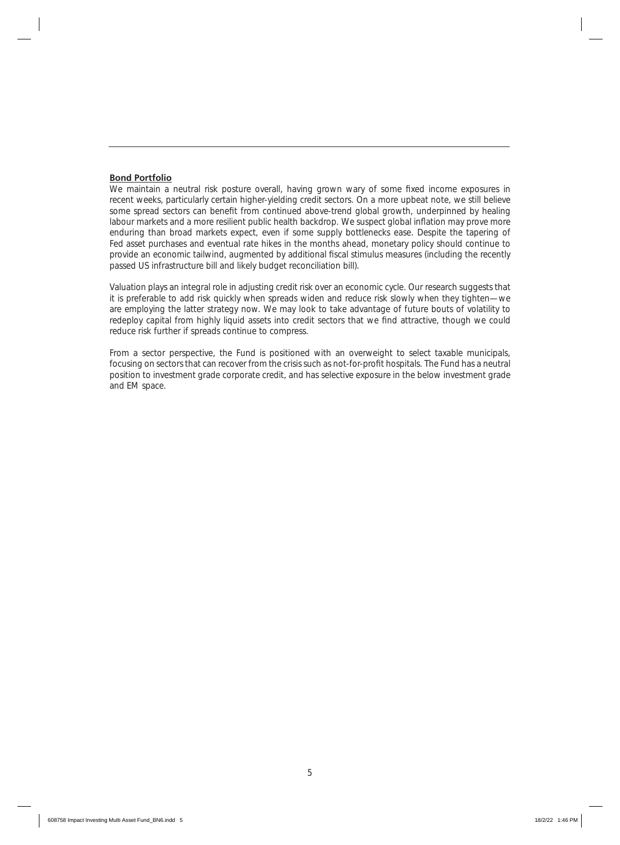## **Bond Portfolio**

We maintain a neutral risk posture overall, having grown wary of some fixed income exposures in recent weeks, particularly certain higher-yielding credit sectors. On a more upbeat note, we still believe some spread sectors can benefit from continued above-trend global growth, underpinned by healing labour markets and a more resilient public health backdrop. We suspect global inflation may prove more enduring than broad markets expect, even if some supply bottlenecks ease. Despite the tapering of Fed asset purchases and eventual rate hikes in the months ahead, monetary policy should continue to provide an economic tailwind, augmented by additional fiscal stimulus measures (including the recently passed US infrastructure bill and likely budget reconciliation bill).

Valuation plays an integral role in adjusting credit risk over an economic cycle. Our research suggests that it is preferable to add risk quickly when spreads widen and reduce risk slowly when they tighten—we are employing the latter strategy now. We may look to take advantage of future bouts of volatility to redeploy capital from highly liquid assets into credit sectors that we find attractive, though we could reduce risk further if spreads continue to compress.

From a sector perspective, the Fund is positioned with an overweight to select taxable municipals, focusing on sectors that can recover from the crisis such as not-for-profit hospitals. The Fund has a neutral position to investment grade corporate credit, and has selective exposure in the below investment grade and EM space.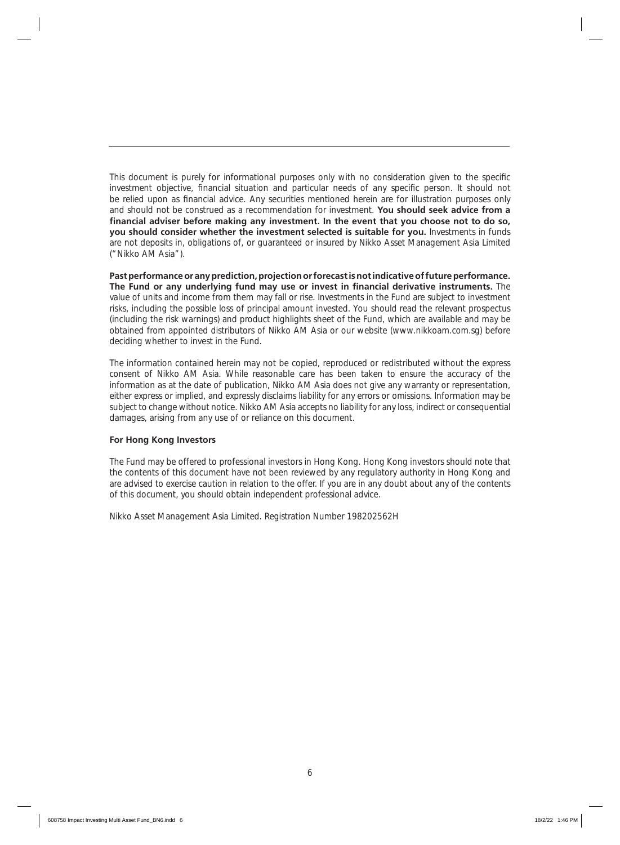This document is purely for informational purposes only with no consideration given to the specific investment objective, financial situation and particular needs of any specific person. It should not be relied upon as financial advice. Any securities mentioned herein are for illustration purposes only and should not be construed as a recommendation for investment. **You should seek advice from a**  financial adviser before making any investment. In the event that you choose not to do so, **you should consider whether the investment selected is suitable for you.** Investments in funds are not deposits in, obligations of, or guaranteed or insured by Nikko Asset Management Asia Limited ("Nikko AM Asia").

**Past performance or any prediction, projection or forecast is not indicative of future performance. The Fund or any underlying fund may use or invest in financial derivative instruments.** The value of units and income from them may fall or rise. Investments in the Fund are subject to investment risks, including the possible loss of principal amount invested. You should read the relevant prospectus (including the risk warnings) and product highlights sheet of the Fund, which are available and may be obtained from appointed distributors of Nikko AM Asia or our website (www.nikkoam.com.sg) before deciding whether to invest in the Fund.

The information contained herein may not be copied, reproduced or redistributed without the express consent of Nikko AM Asia. While reasonable care has been taken to ensure the accuracy of the information as at the date of publication, Nikko AM Asia does not give any warranty or representation, either express or implied, and expressly disclaims liability for any errors or omissions. Information may be subject to change without notice. Nikko AM Asia accepts no liability for any loss, indirect or consequential damages, arising from any use of or reliance on this document.

## **For Hong Kong Investors**

The Fund may be offered to professional investors in Hong Kong. Hong Kong investors should note that the contents of this document have not been reviewed by any regulatory authority in Hong Kong and are advised to exercise caution in relation to the offer. If you are in any doubt about any of the contents of this document, you should obtain independent professional advice.

Nikko Asset Management Asia Limited. Registration Number 198202562H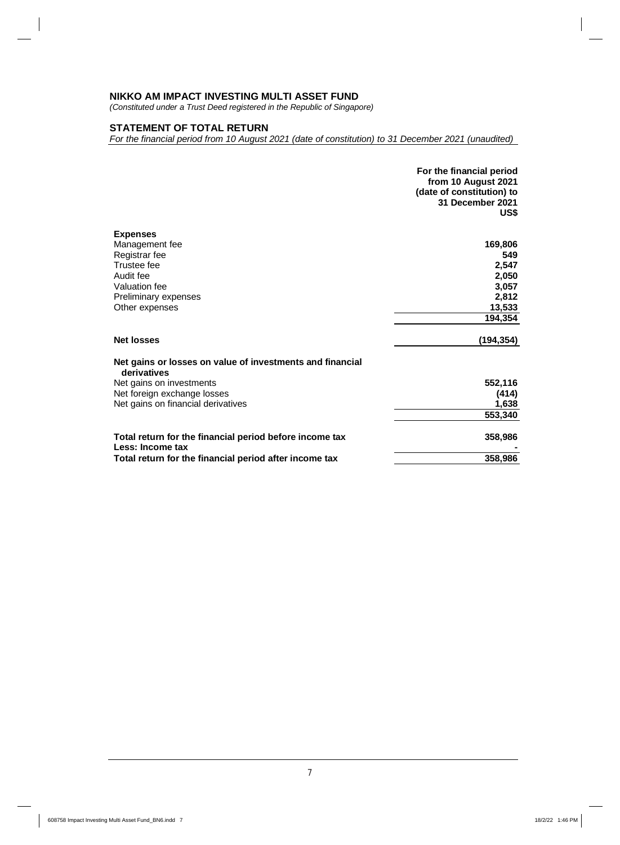*(Constituted under a Trust Deed registered in the Republic of Singapore)* 

# **STATEMENT OF TOTAL RETURN**

*For the financial period from 10 August 2021 (date of constitution) to 31 December 2021 (unaudited)* 

|                                                           | For the financial period                         |
|-----------------------------------------------------------|--------------------------------------------------|
|                                                           | from 10 August 2021<br>(date of constitution) to |
|                                                           | 31 December 2021                                 |
|                                                           | US\$                                             |
|                                                           |                                                  |
| <b>Expenses</b>                                           |                                                  |
| Management fee                                            | 169,806                                          |
| Registrar fee                                             | 549                                              |
| Trustee fee                                               | 2,547                                            |
| Audit fee                                                 | 2,050                                            |
| Valuation fee                                             | 3,057                                            |
| Preliminary expenses                                      | 2,812                                            |
| Other expenses                                            | 13,533                                           |
|                                                           | 194,354                                          |
| <b>Net losses</b>                                         | (194,354)                                        |
| Net gains or losses on value of investments and financial |                                                  |
| derivatives                                               |                                                  |
| Net gains on investments                                  | 552,116                                          |
| Net foreign exchange losses                               | (414)                                            |
| Net gains on financial derivatives                        | 1,638                                            |
|                                                           | 553,340                                          |
| Total return for the financial period before income tax   | 358,986                                          |
| Less: Income tax                                          |                                                  |
| Total return for the financial period after income tax    | 358,986                                          |
|                                                           |                                                  |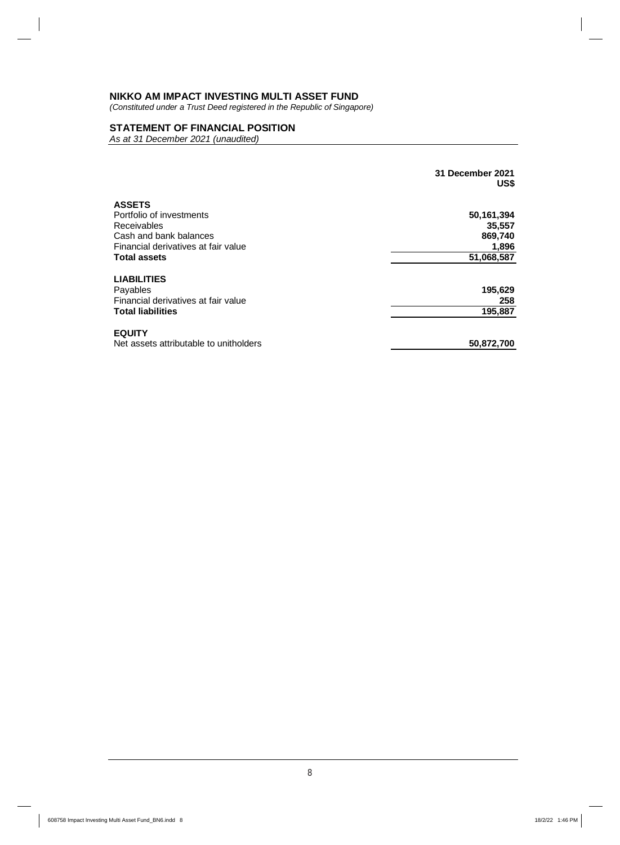*(Constituted under a Trust Deed registered in the Republic of Singapore)* 

# **STATEMENT OF FINANCIAL POSITION**

*As at 31 December 2021 (unaudited)* 

|                                        | 31 December 2021<br>US\$ |
|----------------------------------------|--------------------------|
| <b>ASSETS</b>                          |                          |
| Portfolio of investments               | 50,161,394               |
| Receivables                            | 35,557                   |
| Cash and bank balances                 | 869,740                  |
| Financial derivatives at fair value    | 1,896                    |
| <b>Total assets</b>                    | 51,068,587               |
| <b>LIABILITIES</b>                     |                          |
| Payables                               | 195,629                  |
| Financial derivatives at fair value    | 258                      |
| <b>Total liabilities</b>               | 195,887                  |
| <b>EQUITY</b>                          |                          |
| Net assets attributable to unitholders | 50,872,700               |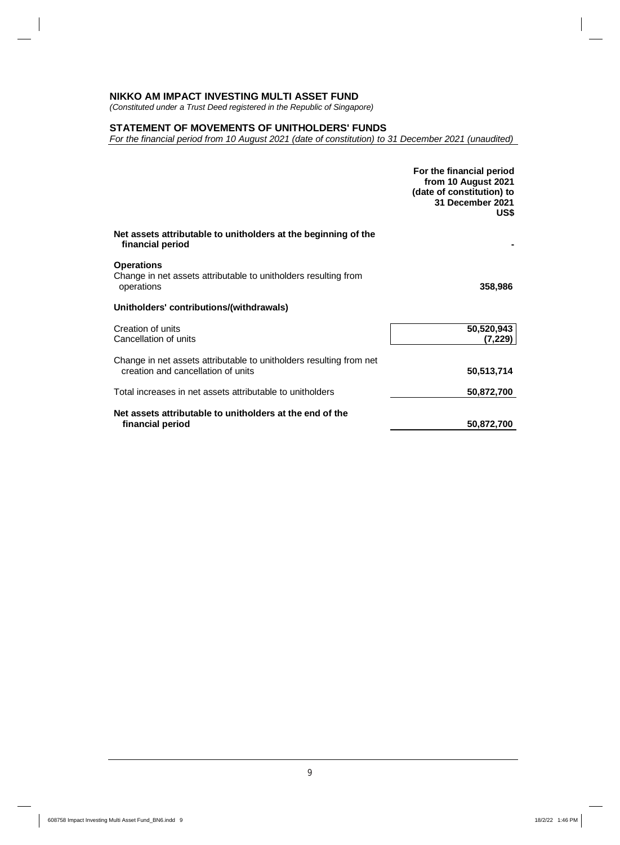*(Constituted under a Trust Deed registered in the Republic of Singapore)* 

# **STATEMENT OF MOVEMENTS OF UNITHOLDERS' FUNDS**

*For the financial period from 10 August 2021 (date of constitution) to 31 December 2021 (unaudited)* 

|                                                                                                           | For the financial period<br>from 10 August 2021<br>(date of constitution) to<br>31 December 2021<br>US\$ |
|-----------------------------------------------------------------------------------------------------------|----------------------------------------------------------------------------------------------------------|
| Net assets attributable to unitholders at the beginning of the<br>financial period                        |                                                                                                          |
| <b>Operations</b><br>Change in net assets attributable to unitholders resulting from<br>operations        | 358,986                                                                                                  |
| Unitholders' contributions/(withdrawals)                                                                  |                                                                                                          |
| Creation of units<br>Cancellation of units                                                                | 50,520,943<br>(7.229)                                                                                    |
| Change in net assets attributable to unitholders resulting from net<br>creation and cancellation of units | 50,513,714                                                                                               |
| Total increases in net assets attributable to unitholders                                                 | 50,872,700                                                                                               |
| Net assets attributable to unitholders at the end of the<br>financial period                              | 50,872,700                                                                                               |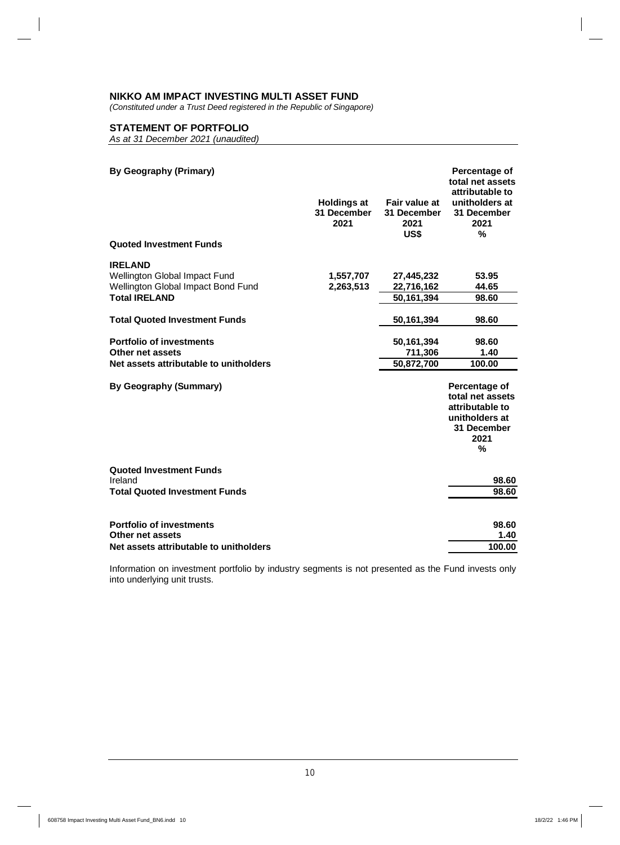*(Constituted under a Trust Deed registered in the Republic of Singapore)* 

# **STATEMENT OF PORTFOLIO**

*As at 31 December 2021 (unaudited)* 

| <b>By Geography (Primary)</b>                                       |                                           |                                              | Percentage of<br>total net assets<br>attributable to                                                           |
|---------------------------------------------------------------------|-------------------------------------------|----------------------------------------------|----------------------------------------------------------------------------------------------------------------|
|                                                                     | <b>Holdings at</b><br>31 December<br>2021 | Fair value at<br>31 December<br>2021<br>US\$ | unitholders at<br>31 December<br>2021<br>$\frac{0}{0}$                                                         |
| <b>Quoted Investment Funds</b>                                      |                                           |                                              |                                                                                                                |
| <b>IRELAND</b>                                                      |                                           |                                              |                                                                                                                |
| Wellington Global Impact Fund<br>Wellington Global Impact Bond Fund | 1,557,707<br>2,263,513                    | 27,445,232<br>22,716,162                     | 53.95<br>44.65                                                                                                 |
| <b>Total IRELAND</b>                                                |                                           | 50,161,394                                   | 98.60                                                                                                          |
| <b>Total Quoted Investment Funds</b>                                |                                           | 50,161,394                                   | 98.60                                                                                                          |
| <b>Portfolio of investments</b>                                     |                                           | 50,161,394                                   | 98.60                                                                                                          |
| <b>Other net assets</b><br>Net assets attributable to unitholders   |                                           | 711,306<br>50,872,700                        | 1.40<br>100.00                                                                                                 |
|                                                                     |                                           |                                              |                                                                                                                |
| <b>By Geography (Summary)</b>                                       |                                           |                                              | Percentage of<br>total net assets<br>attributable to<br>unitholders at<br>31 December<br>2021<br>$\frac{0}{0}$ |
| <b>Quoted Investment Funds</b><br>Ireland                           |                                           |                                              | 98.60                                                                                                          |
| <b>Total Quoted Investment Funds</b>                                |                                           |                                              | 98.60                                                                                                          |
| <b>Portfolio of investments</b>                                     |                                           |                                              | 98.60                                                                                                          |
| Other net assets                                                    |                                           |                                              | 1.40                                                                                                           |
| Net assets attributable to unitholders                              |                                           |                                              | 100.00                                                                                                         |

Information on investment portfolio by industry segments is not presented as the Fund invests only into underlying unit trusts.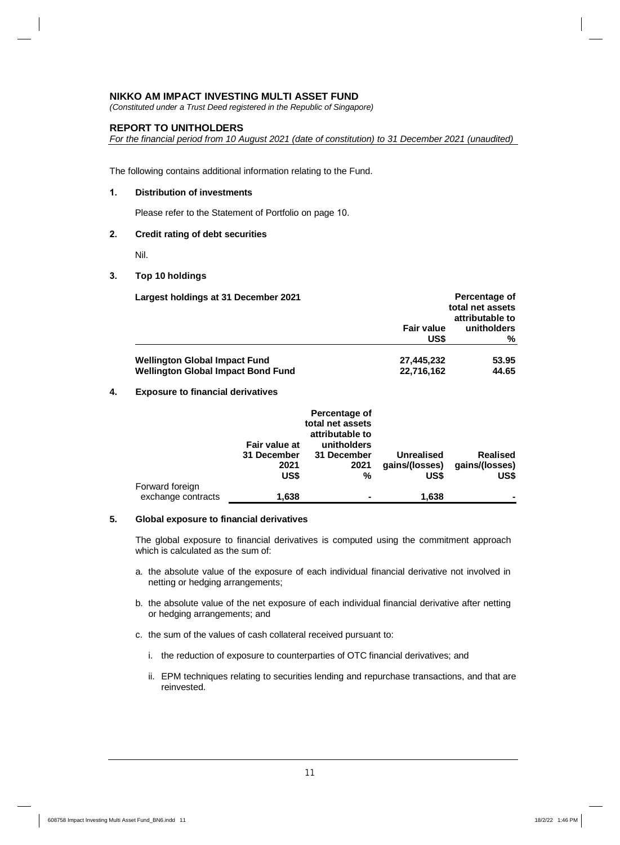*(Constituted under a Trust Deed registered in the Republic of Singapore)* 

## **REPORT TO UNITHOLDERS**

*For the financial period from 10 August 2021 (date of constitution) to 31 December 2021 (unaudited)* 

The following contains additional information relating to the Fund.

#### **Distribution of investments**

Please refer to the Statement of Portfolio on page 10.

## **Credit rating of debt securities**

Nil.

## **Top 10 holdings**

| Largest holdings at 31 December 2021                                              | Percentage of<br>total net assets<br>attributable to |                  |  |
|-----------------------------------------------------------------------------------|------------------------------------------------------|------------------|--|
|                                                                                   | <b>Fair value</b><br>US\$                            | unitholders<br>℅ |  |
| <b>Wellington Global Impact Fund</b><br><b>Wellington Global Impact Bond Fund</b> | 27,445,232<br>22,716,162                             | 53.95<br>44.65   |  |

## **4. Exposure to financial derivatives**

|                                       |                                              | Percentage of<br>total net assets<br>attributable to |                                      |                                           |
|---------------------------------------|----------------------------------------------|------------------------------------------------------|--------------------------------------|-------------------------------------------|
|                                       | Fair value at<br>31 December<br>2021<br>US\$ | unitholders<br>31 December<br>2021<br>%              | Unrealised<br>gains/(losses)<br>US\$ | <b>Realised</b><br>gains/(losses)<br>US\$ |
| Forward foreign<br>exchange contracts | 1,638                                        | ۰                                                    | 1,638                                |                                           |

#### **5. Global exposure to financial derivatives**

The global exposure to financial derivatives is computed using the commitment approach which is calculated as the sum of:

- a. the absolute value of the exposure of each individual financial derivative not involved in netting or hedging arrangements;
- b. the absolute value of the net exposure of each individual financial derivative after netting or hedging arrangements; and
- c. the sum of the values of cash collateral received pursuant to:
	- i. the reduction of exposure to counterparties of OTC financial derivatives; and
	- ii. EPM techniques relating to securities lending and repurchase transactions, and that are reinvested.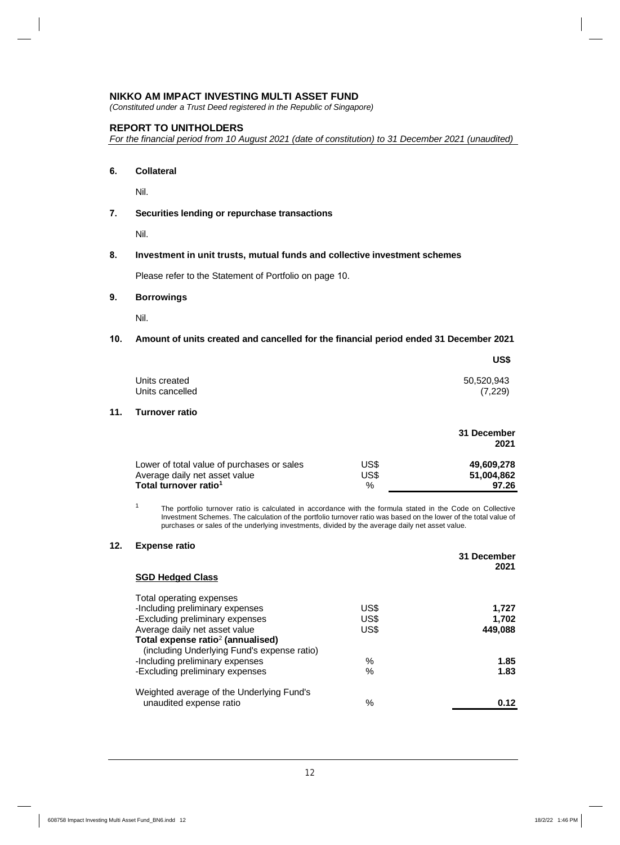*(Constituted under a Trust Deed registered in the Republic of Singapore)* 

## **REPORT TO UNITHOLDERS**

*For the financial period from 10 August 2021 (date of constitution) to 31 December 2021 (unaudited)* 

#### **Collateral**

Nil.

#### **Securities lending or repurchase transactions**

Nil.

#### **Investment in unit trusts, mutual funds and collective investment schemes**

Please refer to the Statement of Portfolio on page 10.

#### **Borrowings**

Nil.

#### **Amount of units created and cancelled for the financial period ended 31 December 2021**

|                 | US\$       |
|-----------------|------------|
| Units created   | 50,520,943 |
| Units cancelled | (7, 229)   |

## **11. Turnover ratio**

|                                            |      | 31 December<br>2021 |
|--------------------------------------------|------|---------------------|
| Lower of total value of purchases or sales | US\$ | 49.609.278          |
| Average daily net asset value              | US\$ | 51.004.862          |
| Total turnover ratio <sup>1</sup>          | $\%$ | 97.26               |

1 The portfolio turnover ratio is calculated in accordance with the formula stated in the Code on Collective Investment Schemes. The calculation of the portfolio turnover ratio was based on the lower of the total value of purchases or sales of the underlying investments, divided by the average daily net asset value.

#### **12. Expense ratio**

|                                                                                              |      | 31 December |
|----------------------------------------------------------------------------------------------|------|-------------|
| <b>SGD Hedged Class</b>                                                                      |      | 2021        |
| Total operating expenses                                                                     |      |             |
| -Including preliminary expenses                                                              | US\$ | 1.727       |
| -Excluding preliminary expenses                                                              | US\$ | 1,702       |
| Average daily net asset value                                                                | US\$ | 449,088     |
| Total expense ratio <sup>2</sup> (annualised)<br>(including Underlying Fund's expense ratio) |      |             |
| -Including preliminary expenses                                                              | ℅    | 1.85        |
| -Excluding preliminary expenses                                                              | %    | 1.83        |
| Weighted average of the Underlying Fund's                                                    |      |             |
| unaudited expense ratio                                                                      | %    | 0.12        |
|                                                                                              |      |             |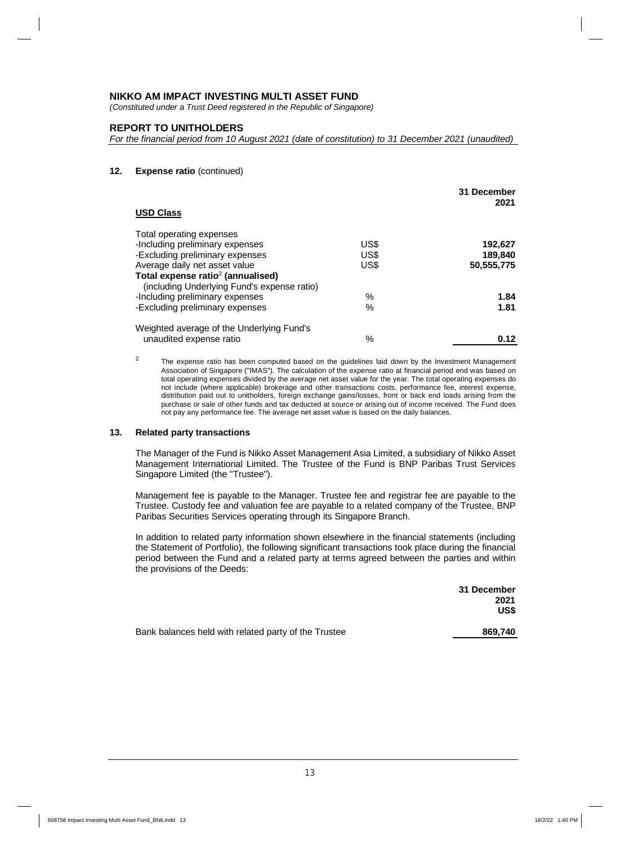*(Constituted under a Trust Deed registered in the Republic of Singapore)* 

# **REPORT TO UNITHOLDERS**

*For the financial period from 10 August 2021 (date of constitution) to 31 December 2021 (unaudited)* 

#### 12. **Expense ratio** (continued)

|                                                                                              |      | 31 December<br>2021 |
|----------------------------------------------------------------------------------------------|------|---------------------|
| <b>USD Class</b>                                                                             |      |                     |
| Total operating expenses                                                                     |      |                     |
| -Including preliminary expenses                                                              | US\$ | 192,627             |
| -Excluding preliminary expenses                                                              | US\$ | 189,840             |
| Average daily net asset value                                                                | US\$ | 50,555,775          |
| Total expense ratio <sup>2</sup> (annualised)<br>(including Underlying Fund's expense ratio) |      |                     |
| -Including preliminary expenses                                                              | ℅    | 1.84                |
| -Excluding preliminary expenses                                                              | ℅    | 1.81                |
| Weighted average of the Underlying Fund's                                                    |      |                     |
| unaudited expense ratio                                                                      | ℅    | 0.12                |

 $\overline{2}$ The expense ratio has been computed based on the guidelines laid down by the Investment Management Association of Singapore ("IMAS"). The calculation of the expense ratio at financial period end was based on total operating expenses divided by the average net asset value for the year. The total operating expenses do not include (where applicable) brokerage and other transactions costs, performance fee, interest expense, distribution paid out to unitholders, foreign exchange gains/losses, front or back end loads arising from the purchase or sale of other funds and tax deducted at source or arising out of income received. The Fund does not pay any performance fee. The average net asset value is based on the daily balances.

#### **13. Related party transactions**

The Manager of the Fund is Nikko Asset Management Asia Limited, a subsidiary of Nikko Asset Management International Limited. The Trustee of the Fund is BNP Paribas Trust Services Singapore Limited (the "Trustee").

Management fee is payable to the Manager. Trustee fee and registrar fee are payable to the Trustee. Custody fee and valuation fee are payable to a related company of the Trustee, BNP Paribas Securities Services operating through its Singapore Branch.

In addition to related party information shown elsewhere in the financial statements (including the Statement of Portfolio), the following significant transactions took place during the financial period between the Fund and a related party at terms agreed between the parties and within the provisions of the Deeds:

|                                                      | 31 December<br>2021<br>US\$ |
|------------------------------------------------------|-----------------------------|
| Bank balances held with related party of the Trustee | 869,740                     |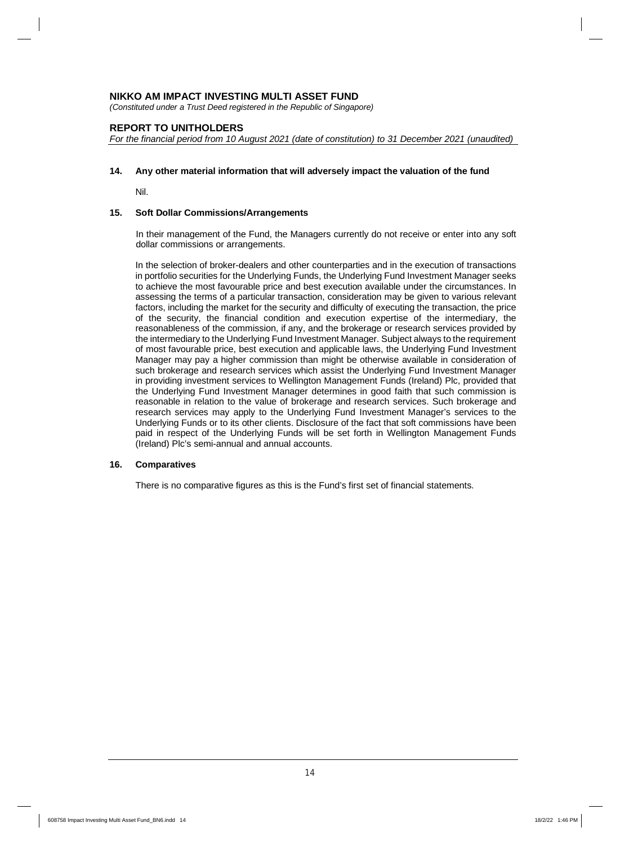*(Constituted under a Trust Deed registered in the Republic of Singapore)* 

# **REPORT TO UNITHOLDERS**

*For the financial period from 10 August 2021 (date of constitution) to 31 December 2021 (unaudited)* 

#### **14. Any other material information that will adversely impact the valuation of the fund**

Nil.

#### **15. Soft Dollar Commissions/Arrangements**

In their management of the Fund, the Managers currently do not receive or enter into any soft dollar commissions or arrangements.

In the selection of broker-dealers and other counterparties and in the execution of transactions in portfolio securities for the Underlying Funds, the Underlying Fund Investment Manager seeks to achieve the most favourable price and best execution available under the circumstances. In assessing the terms of a particular transaction, consideration may be given to various relevant factors, including the market for the security and difficulty of executing the transaction, the price of the security, the financial condition and execution expertise of the intermediary, the reasonableness of the commission, if any, and the brokerage or research services provided by the intermediary to the Underlying Fund Investment Manager. Subject always to the requirement of most favourable price, best execution and applicable laws, the Underlying Fund Investment Manager may pay a higher commission than might be otherwise available in consideration of such brokerage and research services which assist the Underlying Fund Investment Manager in providing investment services to Wellington Management Funds (Ireland) Plc, provided that the Underlying Fund Investment Manager determines in good faith that such commission is reasonable in relation to the value of brokerage and research services. Such brokerage and research services may apply to the Underlying Fund Investment Manager's services to the Underlying Funds or to its other clients. Disclosure of the fact that soft commissions have been paid in respect of the Underlying Funds will be set forth in Wellington Management Funds (Ireland) Plc's semi-annual and annual accounts.

## **16. Comparatives**

There is no comparative figures as this is the Fund's first set of financial statements.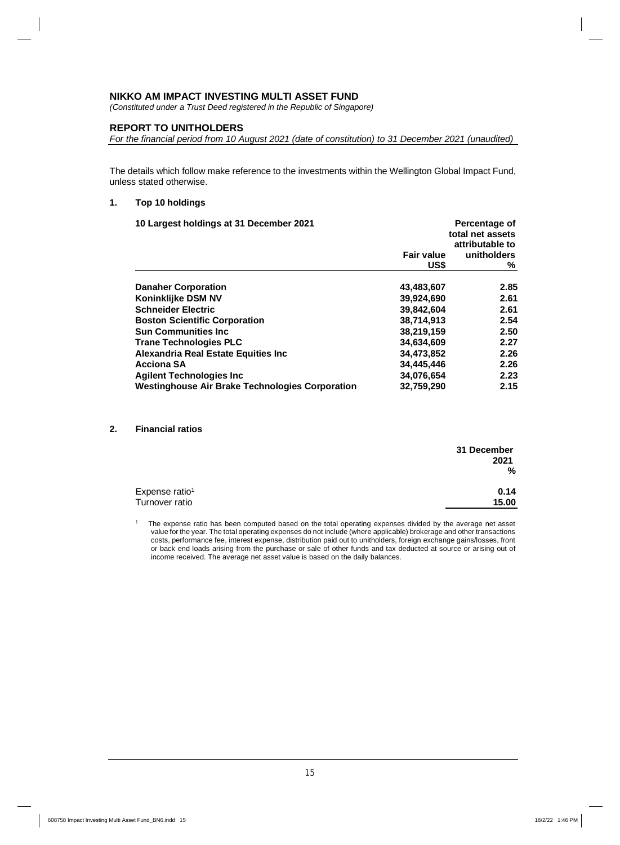*(Constituted under a Trust Deed registered in the Republic of Singapore)* 

# **REPORT TO UNITHOLDERS**

*For the financial period from 10 August 2021 (date of constitution) to 31 December 2021 (unaudited)* 

The details which follow make reference to the investments within the Wellington Global Impact Fund, unless stated otherwise.

#### **1. Top 10 holdings**

| 10 Largest holdings at 31 December 2021                |                   | Percentage of<br>total net assets<br>attributable to |
|--------------------------------------------------------|-------------------|------------------------------------------------------|
|                                                        | <b>Fair value</b> | unitholders                                          |
|                                                        | US\$              | %                                                    |
| <b>Danaher Corporation</b>                             | 43,483,607        | 2.85                                                 |
| <b>Koninklijke DSM NV</b>                              | 39.924.690        | 2.61                                                 |
| <b>Schneider Electric</b>                              | 39,842,604        | 2.61                                                 |
| <b>Boston Scientific Corporation</b>                   | 38,714,913        | 2.54                                                 |
| <b>Sun Communities Inc.</b>                            | 38,219,159        | 2.50                                                 |
| <b>Trane Technologies PLC</b>                          | 34,634,609        | 2.27                                                 |
| <b>Alexandria Real Estate Equities Inc.</b>            | 34,473,852        | 2.26                                                 |
| <b>Acciona SA</b>                                      | 34,445,446        | 2.26                                                 |
| <b>Agilent Technologies Inc</b>                        | 34,076,654        | 2.23                                                 |
| <b>Westinghouse Air Brake Technologies Corporation</b> | 32,759,290        | 2.15                                                 |

#### **2. Financial ratios**

|                            | 31 December<br>2021 |
|----------------------------|---------------------|
|                            | ℅                   |
| Expense ratio <sup>1</sup> | 0.14                |
| Turnover ratio             | 15.00               |

1 The expense ratio has been computed based on the total operating expenses divided by the average net asset value for the year. The total operating expenses do not include (where applicable) brokerage and other transactions costs, performance fee, interest expense, distribution paid out to unitholders, foreign exchange gains/losses, front or back end loads arising from the purchase or sale of other funds and tax deducted at source or arising out of income received. The average net asset value is based on the daily balances.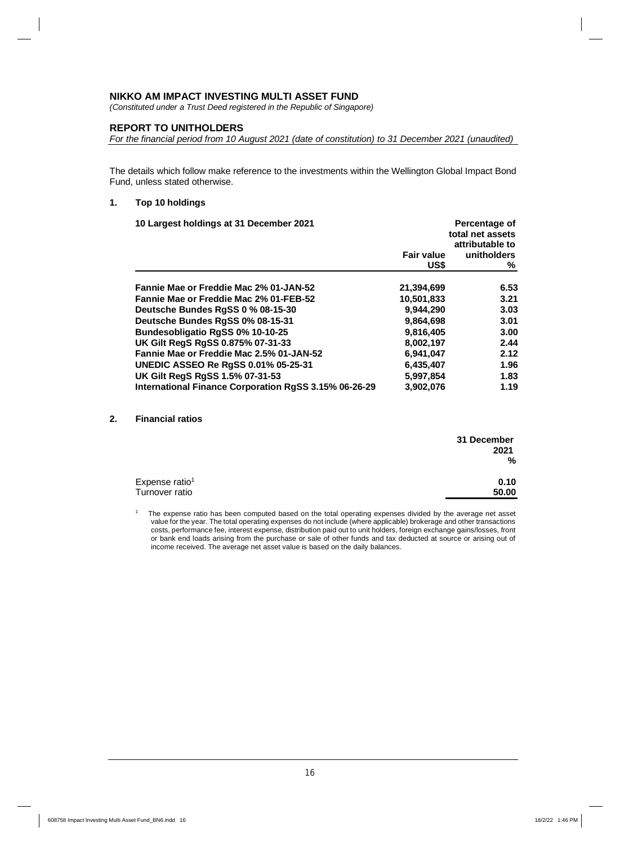*(Constituted under a Trust Deed registered in the Republic of Singapore)* 

## **REPORT TO UNITHOLDERS**

*For the financial period from 10 August 2021 (date of constitution) to 31 December 2021 (unaudited)* 

The details which follow make reference to the investments within the Wellington Global Impact Bond Fund, unless stated otherwise.

## **1. Top 10 holdings**

| 10 Largest holdings at 31 December 2021               | Percentage of<br>total net assets<br>attributable to |             |
|-------------------------------------------------------|------------------------------------------------------|-------------|
|                                                       | <b>Fair value</b>                                    | unitholders |
|                                                       | US\$                                                 | %           |
| Fannie Mae or Freddie Mac 2% 01-JAN-52                | 21,394,699                                           | 6.53        |
| Fannie Mae or Freddie Mac 2% 01-FEB-52                | 10,501,833                                           | 3.21        |
| Deutsche Bundes RgSS 0 % 08-15-30                     | 9,944,290                                            | 3.03        |
| Deutsche Bundes RgSS 0% 08-15-31                      | 9,864,698                                            | 3.01        |
| Bundesobligatio RgSS 0% 10-10-25                      | 9,816,405                                            | 3.00        |
| UK Gilt RegS RgSS 0.875% 07-31-33                     | 8,002,197                                            | 2.44        |
| Fannie Mae or Freddie Mac 2.5% 01-JAN-52              | 6,941,047                                            | 2.12        |
| <b>UNEDIC ASSEO Re RgSS 0.01% 05-25-31</b>            | 6,435,407                                            | 1.96        |
| UK Gilt RegS RgSS 1.5% 07-31-53                       | 5,997,854                                            | 1.83        |
| International Finance Corporation RgSS 3.15% 06-26-29 | 3,902,076                                            | 1.19        |

## **2. Financial ratios**

1

|                            | 31 December |
|----------------------------|-------------|
|                            | 2021        |
|                            | %           |
| Expense ratio <sup>1</sup> | 0.10        |
| Turnover ratio             | 50.00       |

The expense ratio has been computed based on the total operating expenses divided by the average net asset value for the year. The total operating expenses do not include (where applicable) brokerage and other transactions costs, performance fee, interest expense, distribution paid out to unit holders, foreign exchange gains/losses, front or bank end loads arising from the purchase or sale of other funds and tax deducted at source or arising out of income received. The average net asset value is based on the daily balances.